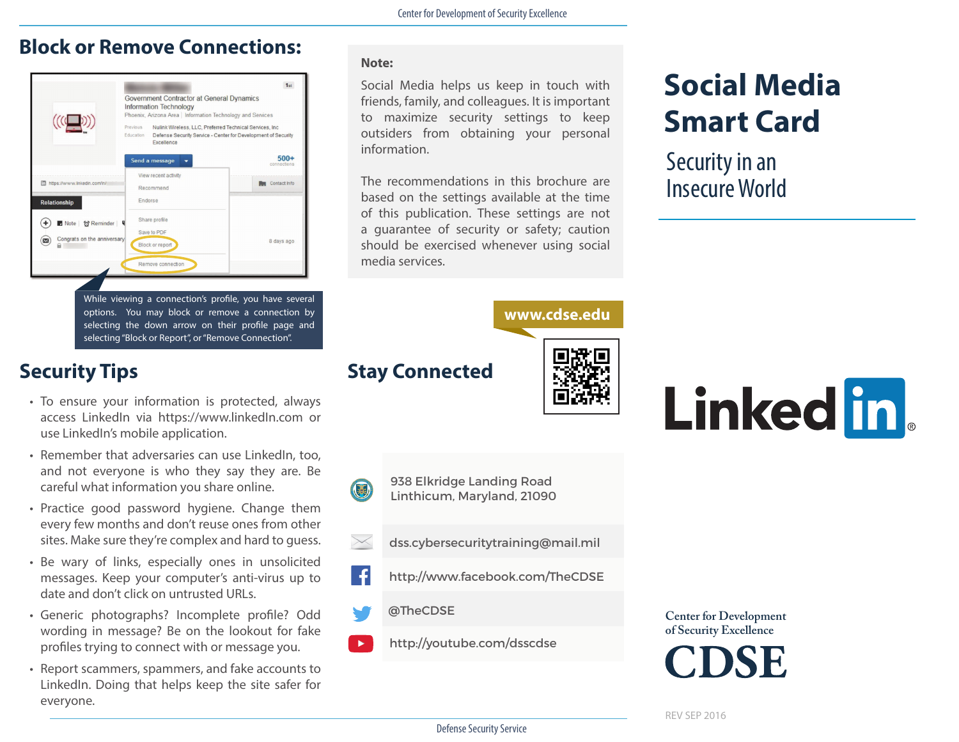## **Block or Remove Connections:**

|                                                 | Government Contractor at General Dynamics<br>Information Technology<br>Phoenix, Arizona Area   Information Technology and Services<br>Previous<br>Nulink Wireless, LLC, Preferred Technical Services, Inc.<br>Education<br>Defense Security Service - Center for Development of Security<br>Excellence |                       |
|-------------------------------------------------|--------------------------------------------------------------------------------------------------------------------------------------------------------------------------------------------------------------------------------------------------------------------------------------------------------|-----------------------|
|                                                 | Send a message                                                                                                                                                                                                                                                                                         | $500+$<br>connections |
| m https://www.linkedin.com/in/                  | View recent activity<br>Recommend                                                                                                                                                                                                                                                                      | Contact Info          |
| Relationship                                    | Endorse                                                                                                                                                                                                                                                                                                |                       |
| <b>7</b> Note   付 Reminder                      | Share profile<br>Save to PDF                                                                                                                                                                                                                                                                           |                       |
| Congrats on the anniversary<br>$\sum_{i=1}^{n}$ | Block or report                                                                                                                                                                                                                                                                                        | 8 days ago            |
|                                                 | Remove connection                                                                                                                                                                                                                                                                                      |                       |
|                                                 |                                                                                                                                                                                                                                                                                                        |                       |
|                                                 | While viewing a connection's profile, you have several<br>options. You may block or remove a connection by                                                                                                                                                                                             |                       |

# **Security Tips Stay Connected**

• To ensure your information is protected, always access LinkedIn via https://www.linkedIn.com or use LinkedIn's mobile application.

selecting "Block or Report", or "Remove Connection".

- Remember that adversaries can use LinkedIn, too, and not everyone is who they say they are. Be careful what information you share online.
- Practice good password hygiene. Change them every few months and don't reuse ones from other sites. Make sure they're complex and hard to guess.
- Be wary of links, especially ones in unsolicited messages. Keep your computer's anti-virus up to date and don't click on untrusted URLs.
- Generic photographs? Incomplete profile? Odd wording in message? Be on the lookout for fake profiles trying to connect with or message you.
- Report scammers, spammers, and fake accounts to LinkedIn. Doing that helps keep the site safer for everyone.

### **Note:**

Social Media helps us keep in touch with friends, family, and colleagues. It is important to maximize security settings to keep outsiders from obtaining your personal information.

The recommendations in this brochure are based on the settings available at the time of this publication. These settings are not a guarantee of security or safety; caution should be exercised whenever using social media services.

# **www.cdse.edu**

Linked in

**Social Media** 

**Smart Card**

Security in an Insecure World



 $\blacktriangleright$ 

938 Elkridge Landing Road Linthicum, Maryland, 21090

- dss.cybersecuritytraining@mail.mil
- http://www.facebook.com/TheCDSE
- @TheCDSE
- http://youtube.com/dsscdse

### **Center for Development of Security Excellence**